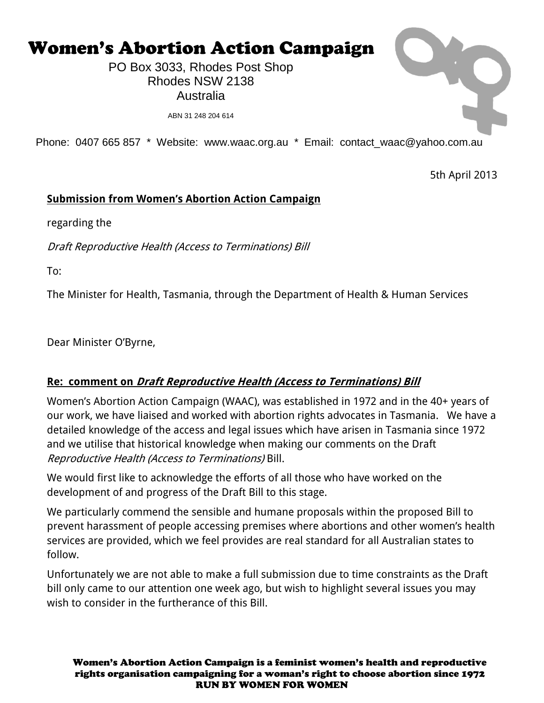# Women's Abortion Action Campaign

PO Box 3033, Rhodes Post Shop Rhodes NSW 2138 Australia

ABN 31 248 204 614

Phone: 0407 665 857 \* Website: www.waac.org.au \* Email: contact\_waac@yahoo.com.au

5th April 2013

#### **Submission from Women's Abortion Action Campaign**

regarding the

Draft Reproductive Health (Access to Terminations) Bill

To:

The Minister for Health, Tasmania, through the Department of Health & Human Services

Dear Minister O'Byrne,

#### **Re: comment on Draft Reproductive Health (Access to Terminations) Bill**

Women's Abortion Action Campaign (WAAC), was established in 1972 and in the 40+ years of our work, we have liaised and worked with abortion rights advocates in Tasmania. We have a detailed knowledge of the access and legal issues which have arisen in Tasmania since 1972 and we utilise that historical knowledge when making our comments on the Draft Reproductive Health (Access to Terminations) Bill.

We would first like to acknowledge the efforts of all those who have worked on the development of and progress of the Draft Bill to this stage.

We particularly commend the sensible and humane proposals within the proposed Bill to prevent harassment of people accessing premises where abortions and other women's health services are provided, which we feel provides are real standard for all Australian states to follow.

Unfortunately we are not able to make a full submission due to time constraints as the Draft bill only came to our attention one week ago, but wish to highlight several issues you may wish to consider in the furtherance of this Bill.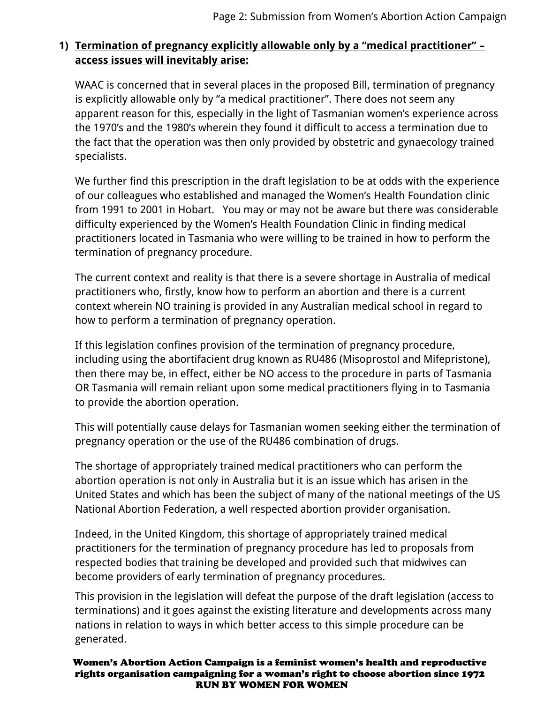#### **1) Termination of pregnancy explicitly allowable only by a "medical practitioner" – access issues will inevitably arise:**

WAAC is concerned that in several places in the proposed Bill, termination of pregnancy is explicitly allowable only by "a medical practitioner". There does not seem any apparent reason for this, especially in the light of Tasmanian women's experience across the 1970's and the 1980's wherein they found it difficult to access a termination due to the fact that the operation was then only provided by obstetric and gynaecology trained specialists.

We further find this prescription in the draft legislation to be at odds with the experience of our colleagues who established and managed the Women's Health Foundation clinic from 1991 to 2001 in Hobart. You may or may not be aware but there was considerable difficulty experienced by the Women's Health Foundation Clinic in finding medical practitioners located in Tasmania who were willing to be trained in how to perform the termination of pregnancy procedure.

The current context and reality is that there is a severe shortage in Australia of medical practitioners who, firstly, know how to perform an abortion and there is a current context wherein NO training is provided in any Australian medical school in regard to how to perform a termination of pregnancy operation.

If this legislation confines provision of the termination of pregnancy procedure, including using the abortifacient drug known as RU486 (Misoprostol and Mifepristone), then there may be, in effect, either be NO access to the procedure in parts of Tasmania OR Tasmania will remain reliant upon some medical practitioners flying in to Tasmania to provide the abortion operation.

This will potentially cause delays for Tasmanian women seeking either the termination of pregnancy operation or the use of the RU486 combination of drugs.

The shortage of appropriately trained medical practitioners who can perform the abortion operation is not only in Australia but it is an issue which has arisen in the United States and which has been the subject of many of the national meetings of the US National Abortion Federation, a well respected abortion provider organisation.

Indeed, in the United Kingdom, this shortage of appropriately trained medical practitioners for the termination of pregnancy procedure has led to proposals from respected bodies that training be developed and provided such that midwives can become providers of early termination of pregnancy procedures.

This provision in the legislation will defeat the purpose of the draft legislation (access to terminations) and it goes against the existing literature and developments across many nations in relation to ways in which better access to this simple procedure can be generated.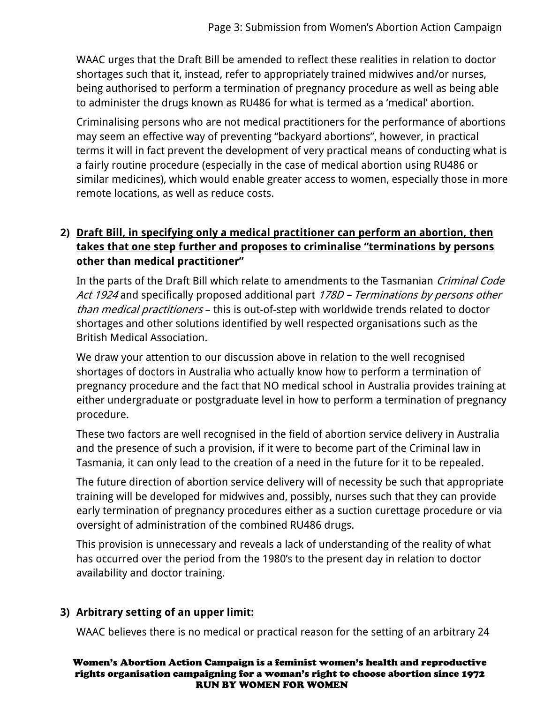WAAC urges that the Draft Bill be amended to reflect these realities in relation to doctor shortages such that it, instead, refer to appropriately trained midwives and/or nurses, being authorised to perform a termination of pregnancy procedure as well as being able to administer the drugs known as RU486 for what is termed as a 'medical' abortion.

Criminalising persons who are not medical practitioners for the performance of abortions may seem an effective way of preventing "backyard abortions", however, in practical terms it will in fact prevent the development of very practical means of conducting what is a fairly routine procedure (especially in the case of medical abortion using RU486 or similar medicines), which would enable greater access to women, especially those in more remote locations, as well as reduce costs.

## **2) Draft Bill, in specifying only a medical practitioner can perform an abortion, then takes that one step further and proposes to criminalise "terminations by persons other than medical practitioner"**

In the parts of the Draft Bill which relate to amendments to the Tasmanian Criminal Code Act 1924 and specifically proposed additional part 178D – Terminations by persons other than medical practitioners – this is out-of-step with worldwide trends related to doctor shortages and other solutions identified by well respected organisations such as the British Medical Association.

We draw your attention to our discussion above in relation to the well recognised shortages of doctors in Australia who actually know how to perform a termination of pregnancy procedure and the fact that NO medical school in Australia provides training at either undergraduate or postgraduate level in how to perform a termination of pregnancy procedure.

These two factors are well recognised in the field of abortion service delivery in Australia and the presence of such a provision, if it were to become part of the Criminal law in Tasmania, it can only lead to the creation of a need in the future for it to be repealed.

The future direction of abortion service delivery will of necessity be such that appropriate training will be developed for midwives and, possibly, nurses such that they can provide early termination of pregnancy procedures either as a suction curettage procedure or via oversight of administration of the combined RU486 drugs.

This provision is unnecessary and reveals a lack of understanding of the reality of what has occurred over the period from the 1980's to the present day in relation to doctor availability and doctor training.

## **3) Arbitrary setting of an upper limit:**

WAAC believes there is no medical or practical reason for the setting of an arbitrary 24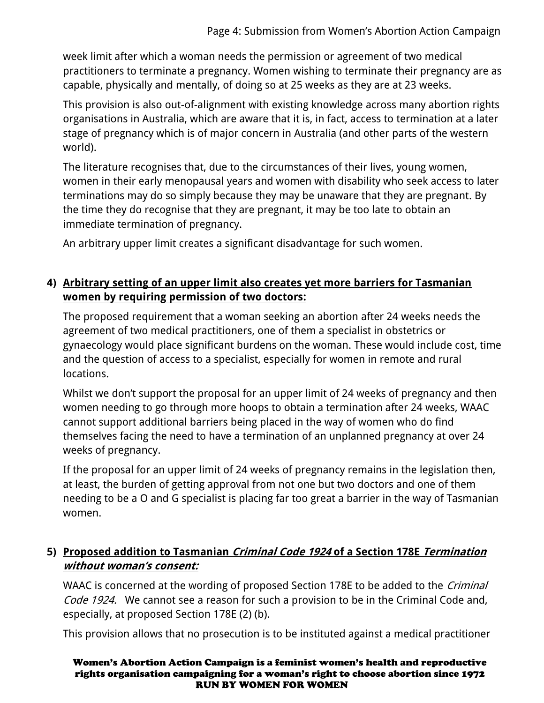week limit after which a woman needs the permission or agreement of two medical practitioners to terminate a pregnancy. Women wishing to terminate their pregnancy are as capable, physically and mentally, of doing so at 25 weeks as they are at 23 weeks.

This provision is also out-of-alignment with existing knowledge across many abortion rights organisations in Australia, which are aware that it is, in fact, access to termination at a later stage of pregnancy which is of major concern in Australia (and other parts of the western world).

The literature recognises that, due to the circumstances of their lives, young women, women in their early menopausal years and women with disability who seek access to later terminations may do so simply because they may be unaware that they are pregnant. By the time they do recognise that they are pregnant, it may be too late to obtain an immediate termination of pregnancy.

An arbitrary upper limit creates a significant disadvantage for such women.

### **4) Arbitrary setting of an upper limit also creates yet more barriers for Tasmanian women by requiring permission of two doctors:**

The proposed requirement that a woman seeking an abortion after 24 weeks needs the agreement of two medical practitioners, one of them a specialist in obstetrics or gynaecology would place significant burdens on the woman. These would include cost, time and the question of access to a specialist, especially for women in remote and rural locations.

Whilst we don't support the proposal for an upper limit of 24 weeks of pregnancy and then women needing to go through more hoops to obtain a termination after 24 weeks, WAAC cannot support additional barriers being placed in the way of women who do find themselves facing the need to have a termination of an unplanned pregnancy at over 24 weeks of pregnancy.

If the proposal for an upper limit of 24 weeks of pregnancy remains in the legislation then, at least, the burden of getting approval from not one but two doctors and one of them needing to be a O and G specialist is placing far too great a barrier in the way of Tasmanian women.

## **5) Proposed addition to Tasmanian Criminal Code 1924 of a Section 178E Termination without woman's consent:**

WAAC is concerned at the wording of proposed Section 178E to be added to the *Criminal* Code 1924. We cannot see a reason for such a provision to be in the Criminal Code and, especially, at proposed Section 178E (2) (b).

This provision allows that no prosecution is to be instituted against a medical practitioner